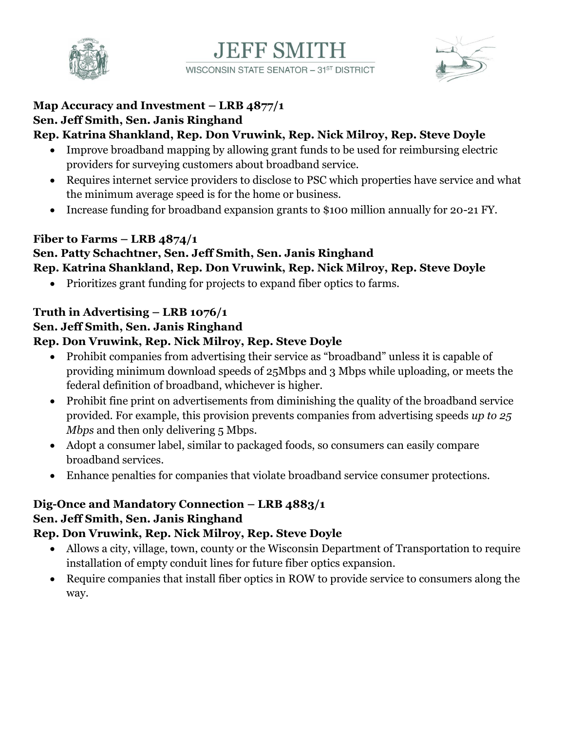



#### **Map Accuracy and Investment – LRB 4877/1 Sen. Jeff Smith, Sen. Janis Ringhand**

### **Rep. Katrina Shankland, Rep. Don Vruwink, Rep. Nick Milroy, Rep. Steve Doyle**

- Improve broadband mapping by allowing grant funds to be used for reimbursing electric providers for surveying customers about broadband service.
- Requires internet service providers to disclose to PSC which properties have service and what the minimum average speed is for the home or business.

**EFF SMITH** 

WISCONSIN STATE SENATOR - 31ST DISTRICT

• Increase funding for broadband expansion grants to \$100 million annually for 20-21 FY.

#### **Fiber to Farms – LRB 4874/1**

#### **Sen. Patty Schachtner, Sen. Jeff Smith, Sen. Janis Ringhand Rep. Katrina Shankland, Rep. Don Vruwink, Rep. Nick Milroy, Rep. Steve Doyle**

Prioritizes grant funding for projects to expand fiber optics to farms.

#### **Truth in Advertising – LRB 1076/1**

### **Sen. Jeff Smith, Sen. Janis Ringhand**

#### **Rep. Don Vruwink, Rep. Nick Milroy, Rep. Steve Doyle**

- Prohibit companies from advertising their service as "broadband" unless it is capable of providing minimum download speeds of 25Mbps and 3 Mbps while uploading, or meets the federal definition of broadband, whichever is higher.
- Prohibit fine print on advertisements from diminishing the quality of the broadband service provided. For example, this provision prevents companies from advertising speeds *up to 25 Mbps* and then only delivering 5 Mbps.
- Adopt a consumer label, similar to packaged foods, so consumers can easily compare broadband services.
- Enhance penalties for companies that violate broadband service consumer protections.

# **Dig-Once and Mandatory Connection – LRB 4883/1 Sen. Jeff Smith, Sen. Janis Ringhand**

#### **Rep. Don Vruwink, Rep. Nick Milroy, Rep. Steve Doyle**

- Allows a city, village, town, county or the Wisconsin Department of Transportation to require installation of empty conduit lines for future fiber optics expansion.
- Require companies that install fiber optics in ROW to provide service to consumers along the way.